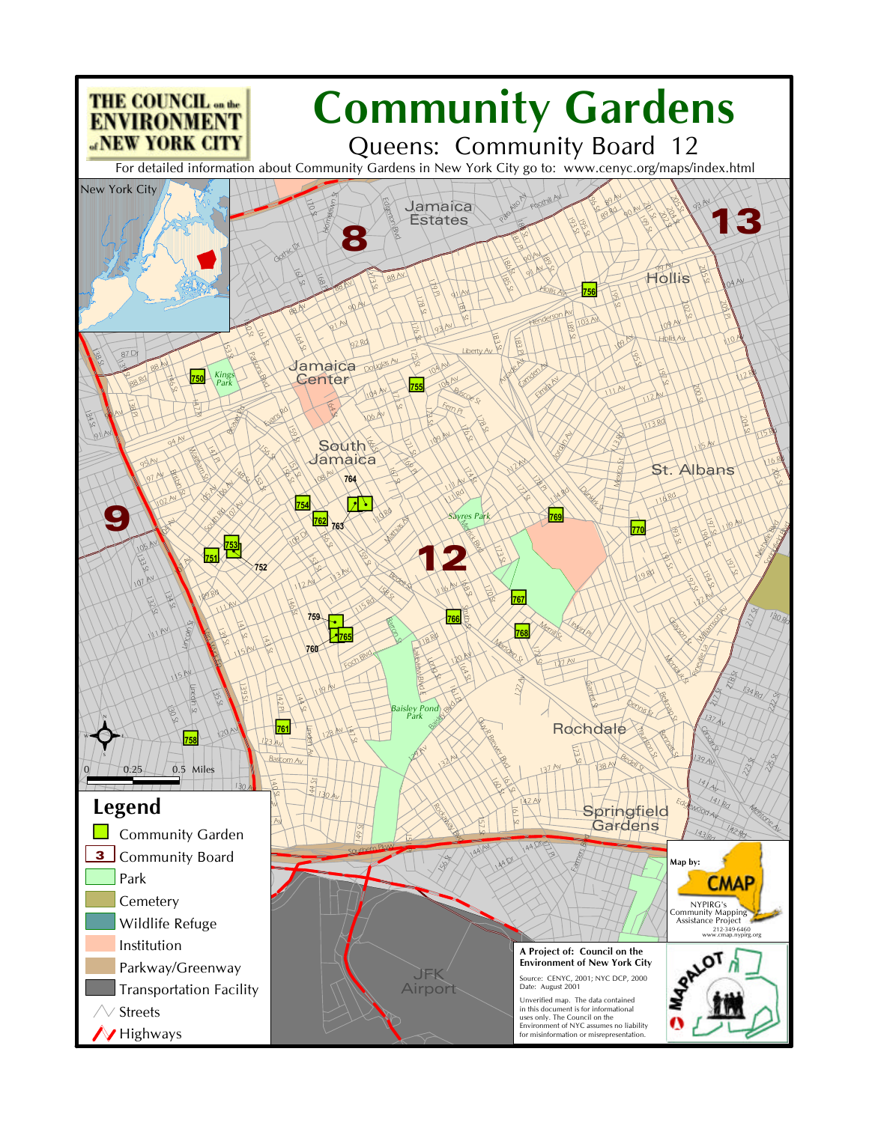